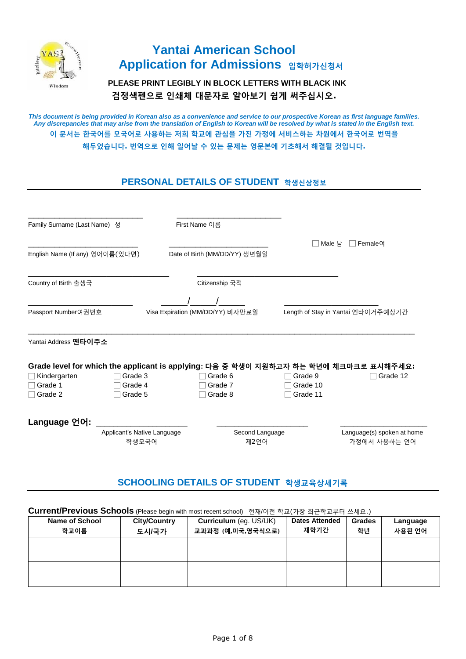

# **Yantai American School Application for Admissions 입학허가신청서**

 **PLEASE PRINT LEGIBLY IN BLOCK LETTERS WITH BLACK INK 검정색펜으로 인쇄체 대문자로 알아보기 쉽게 써주십시오.** 

*This document is being provided in Korean also as a convenience and service to our prospective Korean as first language families. Any discrepancies that may arise from the translation of English to Korean will be resolved by what is stated in the English text.*  **이 문서는 한국어를 모국어로 사용하는 저희 학교에 관심을 가진 가정에 서비스하는 차원에서 한국어로 번역을 해두었습니다. 번역으로 인해 일어날 수 있는 문제는 영문본에 기초해서 해결될 것입니다.**

# **PERSONAL DETAILS OF STUDENT 학생신상정보**

| Family Surname (Last Name) 성    |                             | First Name 이름 |                                  |                 |          |                                                                                      |
|---------------------------------|-----------------------------|---------------|----------------------------------|-----------------|----------|--------------------------------------------------------------------------------------|
| English Name (If any) 영어이름(있다면) |                             |               | Date of Birth (MM/DD/YY) 생년월일    |                 | Male 남   | Female <sup>CH</sup>                                                                 |
|                                 |                             |               |                                  |                 |          |                                                                                      |
| Country of Birth 출생국            |                             |               | Citizenship 국적                   |                 |          |                                                                                      |
|                                 |                             |               |                                  |                 |          |                                                                                      |
| Passport Number여권번호             |                             |               | Visa Expiration (MM/DD/YY) 비자만료일 |                 |          | Length of Stay in Yantai 옌타이거주예상기간                                                   |
| Yantai Address 옌타이주소            |                             |               |                                  |                 |          |                                                                                      |
|                                 |                             |               |                                  |                 |          | Grade level for which the applicant is applying: 다음 중 학생이 지원하고자 하는 학년에 체크마크로 표시해주세요: |
| Kindergarten                    | Grade 3                     |               | Grade 6                          |                 | Grade 9  | Grade 12                                                                             |
| Grade 1                         | Grade 4                     |               | Grade 7                          |                 | Grade 10 |                                                                                      |
| Grade 2                         | Grade 5                     |               | Grade 8                          |                 | Grade 11 |                                                                                      |
| Language 언어:                    |                             |               |                                  |                 |          |                                                                                      |
|                                 | Applicant's Native Language |               |                                  | Second Language |          | Language(s) spoken at home                                                           |
|                                 | 학생모국어                       |               |                                  | 제2언어            |          | 가정에서 사용하는 언어                                                                         |
|                                 |                             |               |                                  |                 |          |                                                                                      |

# **SCHOOLING DETAILS OF STUDENT 학생교육상세기록**

## **Current/Previous Schools** (Please begin with most recent school) 현재/이전 학교(가장 최근학교부터 쓰세요.)

| Name of School | <b>City/Country</b> | Curriculum (eg. US/UK) | <b>Dates Attended</b> | <b>Grades</b> | Language |
|----------------|---------------------|------------------------|-----------------------|---------------|----------|
| 학교이름           | 도시/국가               | 교과과정 (예,미국,영국식으로)      | 재학기간                  | 학년            | 사용된 언어   |
|                |                     |                        |                       |               |          |
|                |                     |                        |                       |               |          |
|                |                     |                        |                       |               |          |
|                |                     |                        |                       |               |          |
|                |                     |                        |                       |               |          |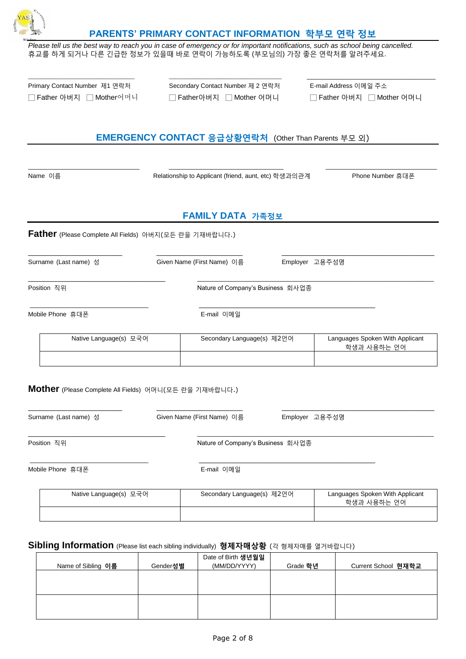

### **PARENTS' PRIMARY CONTACT INFORMATION 학부모 연락 정보**

*\_\_\_\_\_\_\_\_\_\_\_\_\_\_\_\_\_\_\_\_\_\_\_\_\_\_\_\_\_\_\_\_\_\_ \_\_\_\_\_\_\_\_\_\_\_\_\_\_\_\_\_\_\_\_\_\_\_\_\_\_\_\_\_\_\_\_\_\_\_\_* \_\_\_\_\_\_\_\_\_\_\_\_\_\_\_\_\_\_\_\_\_\_\_\_\_\_\_\_\_\_\_\_\_\_\_\_\_

*Please tell us the best way to reach you in case of emergency or for important notifications, such as school being cancelled.* 휴교를 하게 되거나 다른 긴급한 정보가 있을때 바로 연락이 가능하도록 (부모님의) 가장 좋은 연락처를 알려주세요.

| Primary Contact Number 제1 연락처 | Secondary Contact Number 제 2 연락처 | E-mail Address 이메일 주소 |
|-------------------------------|----------------------------------|-----------------------|
| □ Father 아버지 □ Mother어머니      | Father아버지     Mother 어머니         | □ Father 아버지 □ Mo     |

□ Father 아버지 □ Mother어머니 □ Father아버지 □ Mother 어머니 □ Father 아버지 □ Mother 어머니

# **EMERGENCY CONTACT 응급상황연락처** (Other Than Parents 부모 외)

 $\_$  , and the set of the set of the set of the set of the set of the set of the set of the set of the set of the set of the set of the set of the set of the set of the set of the set of the set of the set of the set of th Name 이름 Relationship to Applicant (friend, aunt, etc) 학생과의관계 Phone Number 휴대폰

# **FAMILY DATA 가족정보**

#### **Father** (Please Complete All Fields) 아버지(모든 란을 기재바랍니다.)

\_\_\_\_\_\_\_\_\_\_\_\_\_\_\_\_\_\_\_\_\_\_\_\_ \_\_\_\_\_\_\_\_\_\_\_\_\_\_\_\_\_\_\_\_\_\_ \_\_\_\_\_\_\_\_\_\_\_\_\_\_\_\_\_\_\_\_\_\_\_\_\_\_\_\_\_\_\_\_\_\_\_\_\_\_\_ Surname (Last name) 성 Given Name (First Name) 이름 Employer 고용주성명

\_\_\_\_\_\_\_\_\_\_\_\_\_\_\_\_\_\_\_\_\_\_\_\_\_\_\_\_\_\_\_\_\_\_\_ \_\_\_\_\_\_\_\_\_\_\_\_\_\_\_\_\_\_\_\_\_\_\_\_\_\_\_\_\_\_\_\_\_\_\_\_\_\_\_\_\_\_\_\_\_\_\_\_\_\_\_\_\_\_\_\_\_\_\_\_\_\_\_\_\_\_\_\_

Position 직위 2010 - Position 직위 Nature of Company's Business 회사업종

\_\_\_\_\_\_\_\_\_\_\_\_\_\_\_\_\_\_\_\_\_\_\_\_\_\_\_\_\_\_\_\_\_\_ \_\_\_\_\_\_\_\_\_\_\_\_\_\_\_\_\_\_\_\_\_\_\_\_\_\_\_\_\_\_\_\_\_\_\_\_\_\_\_\_\_\_\_\_\_

Mobile Phone 휴대폰 The Contract of the E-mail 이메일

| Native Language(s) 모국어 | Secondary Language(s) 제2언어 | Languages Spoken With Applicant<br>학생과 사용하는 언어 |
|------------------------|----------------------------|------------------------------------------------|
|                        |                            |                                                |

#### **Mother** (Please Complete All Fields) 어머니(모든 란을 기재바랍니다.)

| Surname (Last name) 성  | Given Name (First Name) 이름 | Employer 고용주성명                                                  |
|------------------------|----------------------------|-----------------------------------------------------------------|
| Position 직위            |                            |                                                                 |
| Mobile Phone 휴대폰       | E-mail 이메일                 |                                                                 |
| Native Language(s) 모국어 |                            | Languages Spoken With Applicant<br>학생과 사용하는 언어                  |
|                        |                            | Nature of Company's Business 회사업종<br>Secondary Language(s) 제2언어 |

#### **Sibling Information** (Please list each sibling individually) **형제자매상황** (<sup>각</sup> 형제자매를 열거바랍니다)

|                    |          | Date of Birth 생년월일 |          |                     |
|--------------------|----------|--------------------|----------|---------------------|
| Name of Sibling 이름 | Gender성별 | (MM/DD/YYYY)       | Grade 학년 | Current School 현재학교 |
|                    |          |                    |          |                     |
|                    |          |                    |          |                     |
|                    |          |                    |          |                     |
|                    |          |                    |          |                     |
|                    |          |                    |          |                     |
|                    |          |                    |          |                     |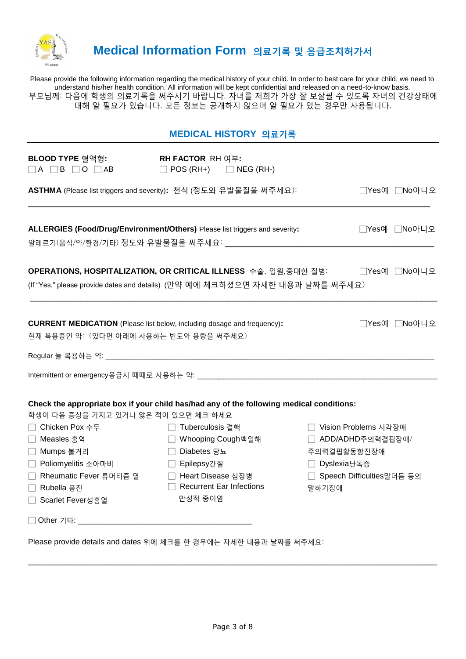

# **Medical Information Form 의료기록 및 응급조치허가서**

Please provide the following information regarding the medical history of your child. In order to best care for your child, we need to understand his/her health condition. All information will be kept confidential and released on a need-to-know basis. 부모님께: 다음에 학생의 의료기록을 써주시기 바랍니다. 자녀를 저희가 가장 잘 보살필 수 있도록 자녀의 건강상태에 대해 알 필요가 있습니다. 모든 정보는 공개하지 않으며 알 필요가 있는 경우만 사용됩니다.

|                                                                                                                                                                                               | MEDICAL HISTORY 의료기록                                                                                                                                                                                                                       |                                                                                                                      |
|-----------------------------------------------------------------------------------------------------------------------------------------------------------------------------------------------|--------------------------------------------------------------------------------------------------------------------------------------------------------------------------------------------------------------------------------------------|----------------------------------------------------------------------------------------------------------------------|
| BLOOD TYPE 혈액형:<br>$\Box A \Box B \Box O \Box AB$                                                                                                                                             | <b>RH FACTOR RH 여부:</b><br>$\Box$ POS (RH+) $\Box$ NEG (RH-)                                                                                                                                                                               |                                                                                                                      |
|                                                                                                                                                                                               | ASTHMA (Please list triggers and severity): 천식 (정도와 유발물질을 써주세요):                                                                                                                                                                           | □Yes예 □No아니오                                                                                                         |
|                                                                                                                                                                                               | ALLERGIES (Food/Drug/Environment/Others) Please list triggers and severity:                                                                                                                                                                | □Yes예 □No아니오                                                                                                         |
|                                                                                                                                                                                               | OPERATIONS, HOSPITALIZATION, OR CRITICAL ILLNESS 수술, 입원,중대한 질병:<br>(If "Yes," please provide dates and details) (만약 예에 체크하셨으면 자세한 내용과 날짜를 써주세요)                                                                                            | □Yes예 □No아니오                                                                                                         |
| <b>CURRENT MEDICATION</b> (Please list below, including dosage and frequency):<br>현재 복용중인 약: (있다면 아래에 사용하는 빈도와 용량을 써주세요)                                                                      |                                                                                                                                                                                                                                            | □Yes예 □No아니오                                                                                                         |
|                                                                                                                                                                                               |                                                                                                                                                                                                                                            |                                                                                                                      |
| 학생이 다음 증상을 가지고 있거나 앓은 적이 있으면 체크 하세요<br>□ Chicken Pox 수두<br>Measles 홍역<br>Mumps 볼거리<br>$\perp$<br>Poliomyelitis 소아마비<br>$\Box$<br>□ Rheumatic Fever 류머티즘 열<br>□ Rubella 풍진<br>Scarlet Fever성홍열 | Check the appropriate box if your child has/had any of the following medical conditions:<br>□ Tuberculosis 결핵<br>□ Whooping Cough백일해<br>□ Diabetes 당뇨<br>□ Epilepsy간질<br>□ Heart Disease 심장병<br>$\Box$ Recurrent Ear Infections<br>만성적 중이염 | □ Vision Problems 시각장애<br>□ ADD/ADHD주의력결핍장애/<br>주의력결핍활동항진장애<br>□ Dyslexia난독증<br>□ Speech Difficulties말더듬 등의<br>말하기장애 |
|                                                                                                                                                                                               |                                                                                                                                                                                                                                            |                                                                                                                      |

Please provide details and dates 위에 체크를 한 경우에는 자세한 내용과 날짜를 써주세요:

\_\_\_\_\_\_\_\_\_\_\_\_\_\_\_\_\_\_\_\_\_\_\_\_\_\_\_\_\_\_\_\_\_\_\_\_\_\_\_\_\_\_\_\_\_\_\_\_\_\_\_\_\_\_\_\_\_\_\_\_\_\_\_\_\_\_\_\_\_\_\_\_\_\_\_\_\_\_\_\_\_\_\_\_\_\_\_\_\_\_\_\_\_\_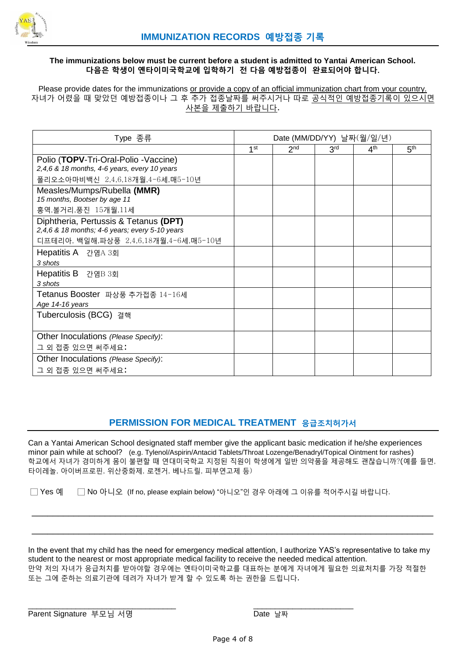

#### **The immunizations below must be current before a student is admitted to Yantai American School. 다음은 학생이 옌타이미국학교에 입학하기 전 다음 예방접종이 완료되어야 합니다**.

Please provide dates for the immunizations or provide a copy of an official immunization chart from your country. 자녀가 어렸을 때 맞았던 예방접종이나 그 후 추가 접종날짜를 써주시거나 따로 공식적인 예방접종기록이 있으시면 사본을 제출하기 바랍니다.

| Type 종류                                                                                 | Date (MM/DD/YY) 날짜(월/일/년) |                 |                 |                 |                 |
|-----------------------------------------------------------------------------------------|---------------------------|-----------------|-----------------|-----------------|-----------------|
|                                                                                         | 1 <sup>st</sup>           | 2 <sub>nd</sub> | 3 <sup>rd</sup> | 4 <sup>th</sup> | 5 <sup>th</sup> |
| Polio (TOPV-Tri-Oral-Polio - Vaccine)<br>2,4,6 & 18 months, 4-6 years, every 10 years   |                           |                 |                 |                 |                 |
| 폴리오소아마비백신 2,4,6,18개월,4-6세,매5-10년                                                        |                           |                 |                 |                 |                 |
| Measles/Mumps/Rubella (MMR)                                                             |                           |                 |                 |                 |                 |
| 15 months, Bootser by age 11                                                            |                           |                 |                 |                 |                 |
| 홍역,볼거리,풍진 15개월,11세                                                                      |                           |                 |                 |                 |                 |
| Diphtheria, Pertussis & Tetanus (DPT)<br>2,4,6 & 18 months; 4-6 years; every 5-10 years |                           |                 |                 |                 |                 |
| 디프테리아, 백일해,파상풍 2,4,6,18개월,4-6세,매5-10년                                                   |                           |                 |                 |                 |                 |
| Hepatitis A 간염A 3회                                                                      |                           |                 |                 |                 |                 |
| 3 shots                                                                                 |                           |                 |                 |                 |                 |
| Hepatitis B 간염B 3회                                                                      |                           |                 |                 |                 |                 |
| 3 shots                                                                                 |                           |                 |                 |                 |                 |
| Tetanus Booster 파상풍 추가접종 14-16세                                                         |                           |                 |                 |                 |                 |
| Age 14-16 years                                                                         |                           |                 |                 |                 |                 |
| Tuberculosis (BCG) 결핵                                                                   |                           |                 |                 |                 |                 |
|                                                                                         |                           |                 |                 |                 |                 |
| Other Inoculations (Please Specify):                                                    |                           |                 |                 |                 |                 |
| 그 외 접종 있으면 써주세요:                                                                        |                           |                 |                 |                 |                 |
| Other Inoculations (Please Specify):                                                    |                           |                 |                 |                 |                 |
| 그 외 접종 있으면 써주세요:                                                                        |                           |                 |                 |                 |                 |

# **PERMISSION FOR MEDICAL TREATMENT 응급조치허가서**

Can a Yantai American School designated staff member give the applicant basic medication if he/she experiences minor pain while at school? (e.g. Tylenol/Aspirin/Antacid Tablets/Throat Lozenge/Benadryl/Topical Ointment for rashes) 학교에서 자녀가 경미하게 몸이 불편할 때 연대미국학교 지정된 직원이 학생에게 일반 의약품을 제공해도 괜찮습니까?(예를 들면, 타이레놀, 아이버프로핀, 위산중화제, 로젠거, 베나드릴, 피부연고제 등)

\_\_\_\_\_\_\_\_\_\_\_\_\_\_\_\_\_\_\_\_\_\_\_\_\_\_\_\_\_\_\_\_\_\_\_\_\_\_\_\_\_\_\_\_\_\_\_\_\_\_\_\_\_\_\_\_\_\_\_\_\_\_\_\_\_\_\_\_\_\_\_\_\_\_\_\_\_

\_\_\_\_\_\_\_\_\_\_\_\_\_\_\_\_\_\_\_\_\_\_\_\_\_\_\_\_\_\_\_\_\_\_\_\_\_\_\_\_\_\_\_\_\_\_\_\_\_\_\_\_\_\_\_\_\_\_\_\_\_\_\_\_\_\_\_\_\_\_\_\_\_\_\_\_\_

□ Yes 예 □ No 아니오 (If no, please explain below) "아니오"인 경우 아래에 그 이유를 적어주시길 바랍니다.

\_\_\_\_\_\_\_\_\_\_\_\_\_\_\_\_\_\_\_\_\_\_\_\_\_\_\_\_\_\_\_\_\_\_ \_\_\_\_\_\_\_\_\_\_\_\_\_\_\_\_\_\_\_\_\_\_\_

In the event that my child has the need for emergency medical attention, I authorize YAS's representative to take my student to the nearest or most appropriate medical facility to receive the needed medical attention. 만약 저의 자녀가 응급처치를 받아야할 경우에는 옌타이미국학교를 대표하는 분에게 자녀에게 필요한 의료처치를 가장 적절한 또는 그에 준하는 의료기관에 데려가 자녀가 받게 할 수 있도록 하는 권한을 드립니다.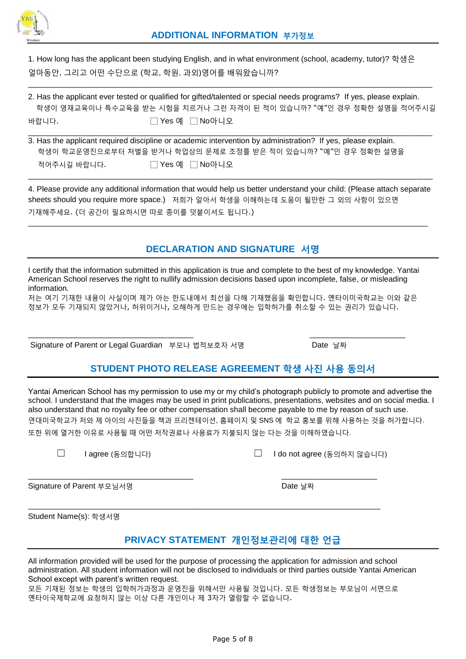

1. How long has the applicant been studying English, and in what environment (school, academy, tutor)? 학생은 얼마동안, 그리고 어떤 수단으로 (학교, 학원, 과외)영어를 배워왔습니까?

2. Has the applicant ever tested or qualified for gifted/talented or special needs programs? If yes, please explain. 학생이 영재교육이나 특수교육을 받는 시험을 치르거나 그런 자격이 된 적이 있습니까? "예"인 경우 정확한 설명을 적어주시길 바랍니다. 그 그 그 그 Pes 예 □ No아니오

 $\_$  ,  $\_$  ,  $\_$  ,  $\_$  ,  $\_$  ,  $\_$  ,  $\_$  ,  $\_$  ,  $\_$  ,  $\_$  ,  $\_$  ,  $\_$  ,  $\_$  ,  $\_$  ,  $\_$  ,  $\_$  ,  $\_$  ,  $\_$  ,  $\_$  ,  $\_$  ,  $\_$  ,  $\_$  ,  $\_$  ,  $\_$  ,  $\_$  ,  $\_$  ,  $\_$  ,  $\_$  ,  $\_$  ,  $\_$  ,  $\_$  ,  $\_$  ,  $\_$  ,  $\_$  ,  $\_$  ,  $\_$  ,  $\_$  ,

|             | 3. Has the applicant required discipline or academic intervention by administration? If yes, please explain. |
|-------------|--------------------------------------------------------------------------------------------------------------|
|             | 학생이 학교운영진으로부터 처벌을 받거나 학업상의 문제로 조정를 받은 적이 있습니까? "예"인 경우 정확한 설명을                                               |
| 적어주시길 바랍니다. | □ Yes 예 □ No아니오                                                                                              |

4. Please provide any additional information that would help us better understand your child: (Please attach separate sheets should you require more space.) 저희가 알아서 학생을 이해하는데 도움이 될만한 그 외의 사항이 있으면 기재해주세요. (더 공간이 필요하시면 따로 종이를 덧붙이셔도 됩니다.)

 $\_$  ,  $\_$  ,  $\_$  ,  $\_$  ,  $\_$  ,  $\_$  ,  $\_$  ,  $\_$  ,  $\_$  ,  $\_$  ,  $\_$  ,  $\_$  ,  $\_$  ,  $\_$  ,  $\_$  ,  $\_$  ,  $\_$  ,  $\_$  ,  $\_$  ,  $\_$  ,  $\_$  ,  $\_$  ,  $\_$  ,  $\_$  ,  $\_$  ,  $\_$  ,  $\_$  ,  $\_$  ,  $\_$  ,  $\_$  ,  $\_$  ,  $\_$  ,  $\_$  ,  $\_$  ,  $\_$  ,  $\_$  ,  $\_$  ,

\_\_\_\_\_\_\_\_\_\_\_\_\_\_\_\_\_\_\_\_\_\_\_\_\_\_\_\_\_\_\_\_\_\_\_\_\_\_\_\_\_\_\_\_\_\_\_\_\_\_\_\_\_\_\_\_\_\_\_\_\_\_\_\_\_\_\_\_\_\_\_\_\_\_\_\_\_\_\_\_\_\_\_\_\_\_\_\_\_\_\_\_\_

# **DECLARATION AND SIGNATURE 서명**

I certify that the information submitted in this application is true and complete to the best of my knowledge. Yantai American School reserves the right to nullify admission decisions based upon incomplete, false, or misleading information.

저는 여기 기재한 내용이 사실이며 제가 아는 한도내에서 최선을 다해 기재했음을 확인합니다. 옌타이미국학교는 이와 같은 정보가 모두 기재되지 않았거나, 허위이거나, 오해하게 만드는 경우에는 입학허가를 취소할 수 있는 권리가 있습니다.

\_\_\_\_\_\_\_\_\_\_\_\_\_\_\_\_\_\_\_\_\_\_\_\_\_\_\_\_\_\_\_\_\_\_\_\_\_\_ \_\_\_\_\_\_\_\_\_\_\_\_\_\_\_\_\_\_\_\_\_\_

Signature of Parent or Legal Guardian 부모나 법적보호자 서명 Date 날짜

# **STUDENT PHOTO RELEASE AGREEMENT 학생 사진 사용 동의서**

Yantai American School has my permission to use my or my child's photograph publicly to promote and advertise the school. I understand that the images may be used in print publications, presentations, websites and on social media. I also understand that no royalty fee or other compensation shall become payable to me by reason of such use.

연대미국학교가 저와 제 아이의 사진들을 책과 프리젠테이션, 홈페이지 및 SNS 에 학교 홍보를 위해 사용하는 것을 허가합니다.

또한 위에 열거한 이유로 사용될 때 어떤 저작권료나 사용료가 지불되지 않는 다는 것을 이해하였습니다.

\_\_\_\_\_\_\_\_\_\_\_\_\_\_\_\_\_\_\_\_\_\_\_\_\_\_\_\_\_\_\_\_\_\_\_\_\_\_ \_\_\_\_\_\_\_\_\_\_\_\_\_\_\_\_\_\_\_\_\_\_

\_\_\_\_\_\_\_\_\_\_\_\_\_\_\_\_\_\_\_\_\_\_\_\_\_\_\_\_\_\_\_\_\_\_\_\_\_\_\_\_\_\_\_\_\_\_\_\_\_\_\_\_\_\_\_\_\_\_\_\_\_\_\_\_\_\_\_\_\_\_\_\_\_\_\_\_\_\_\_\_\_

☐ I agree (동의합니다) ☐ I do not agree (동의하지 않습니다)

Signature of Parent 부모님서명 Date 날짜 Date 날짜

Student Name(s): 학생서명

# **PRIVACY STATEMENT 개인정보관리에 대한 언급**

All information provided will be used for the purpose of processing the application for admission and school administration. All student information will not be disclosed to individuals or third parties outside Yantai American School except with parent's written request.

모든 기재된 정보는 학생의 입학허가과정과 운영진을 위해서만 사용될 것입니다. 모든 학생정보는 부모님이 서면으로 옌타이국제학교에 요청하지 않는 이상 다른 개인이나 제 3자가 열람할 수 없습니다.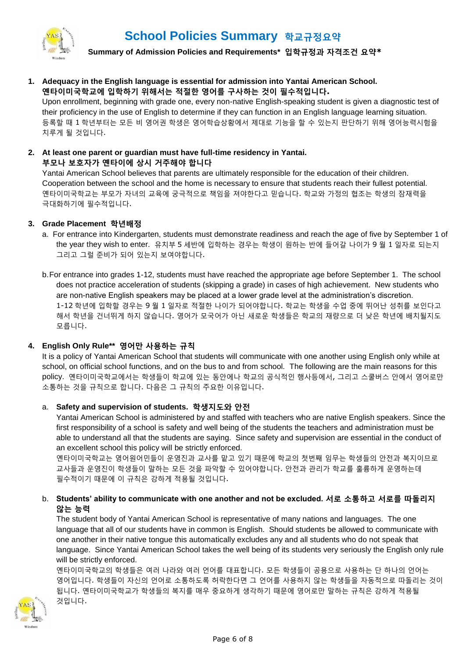

 **Summary of Admission Policies and Requirements\* 입학규정과 자격조건 요약\***

**1. Adequacy in the English language is essential for admission into Yantai American School. 옌타이미국학교에 입학하기 위해서는 적절한 영어를 구사하는 것이 필수적입니다.**

Upon enrollment, beginning with grade one, every non-native English-speaking student is given a diagnostic test of their proficiency in the use of English to determine if they can function in an English language learning situation. 등록할 때 1 학년부터는 모든 비 영어권 학생은 영어학습상황에서 제대로 기능을 할 수 있는지 판단하기 위해 영어능력시험을 치루게 될 것입니다.

### **2. At least one parent or guardian must have full-time residency in Yantai. 부모나 보호자가 옌타이에 상시 거주해야 합니다**

Yantai American School believes that parents are ultimately responsible for the education of their children. Cooperation between the school and the home is necessary to ensure that students reach their fullest potential. 옌타이미국학교는 부모가 자녀의 교육에 궁극적으로 책임을 져야한다고 믿습니다. 학교와 가정의 협조는 학생의 잠재력을 극대화하기에 필수적입니다.

#### **3. Grade Placement 학년배정**

a. For entrance into Kindergarten, students must demonstrate readiness and reach the age of five by September 1 of the year they wish to enter. 유치부 5 세반에 입학하는 경우는 학생이 원하는 반에 들어갈 나이가 9 월 1 일자로 되는지 그리고 그럴 준비가 되어 있는지 보여야합니다.

b.For entrance into grades 1-12, students must have reached the appropriate age before September 1. The school does not practice acceleration of students (skipping a grade) in cases of high achievement. New students who are non-native English speakers may be placed at a lower grade level at the administration's discretion. 1-12 학년에 입학할 경우는 9 월 1 일자로 적절한 나이가 되어야합니다. 학교는 학생을 수업 중에 뛰어난 성취를 보인다고 해서 학년을 건너뛰게 하지 않습니다. 영어가 모국어가 아닌 새로운 학생들은 학교의 재량으로 더 낮은 학년에 배치될지도 모릅니다.

### **4. English Only Rule\*\* 영어만 사용하는 규칙**

It is a policy of Yantai American School that students will communicate with one another using English only while at school, on official school functions, and on the bus to and from school. The following are the main reasons for this policy. 옌타이미국학교에서는 학생들이 학교에 있는 동안에나 학교의 공식적인 행사등에서, 그리고 스쿨버스 안에서 영어로만 소통하는 것을 규칙으로 합니다. 다음은 그 규칙의 주요한 이유입니다.

#### a. **Safety and supervision of students. 학생지도와 안전**

Yantai American School is administered by and staffed with teachers who are native English speakers. Since the first responsibility of a school is safety and well being of the students the teachers and administration must be able to understand all that the students are saying. Since safety and supervision are essential in the conduct of an excellent school this policy will be strictly enforced.

옌타이미국학교는 영어원어민들이 운영진과 교사를 맡고 있기 때문에 학교의 첫번째 임무는 학생들의 안전과 복지이므로 교사들과 운영진이 학생들이 말하는 모든 것을 파악할 수 있어야합니다. 안전과 관리가 학교를 훌륭하게 운영하는데 필수적이기 때문에 이 규칙은 강하게 적용될 것입니다.

b. **Students' ability to communicate with one another and not be excluded. 서로 소통하고 서로를 따돌리지 않는 능력**

The student body of Yantai American School is representative of many nations and languages. The one language that all of our students have in common is English. Should students be allowed to communicate with one another in their native tongue this automatically excludes any and all students who do not speak that language. Since Yantai American School takes the well being of its students very seriously the English only rule will be strictly enforced.

옌타이미국학교의 학생들은 여러 나라와 여러 언어를 대표합니다. 모든 학생들이 공용으로 사용하는 단 하나의 언어는 영어입니다. 학생들이 자신의 언어로 소통하도록 허락한다면 그 언어를 사용하지 않는 학생들을 자동적으로 따돌리는 것이 됩니다. 옌타이미국학교가 학생들의 복지를 매우 중요하게 생각하기 때문에 영어로만 말하는 규칙은 강하게 적용될 것입니다.

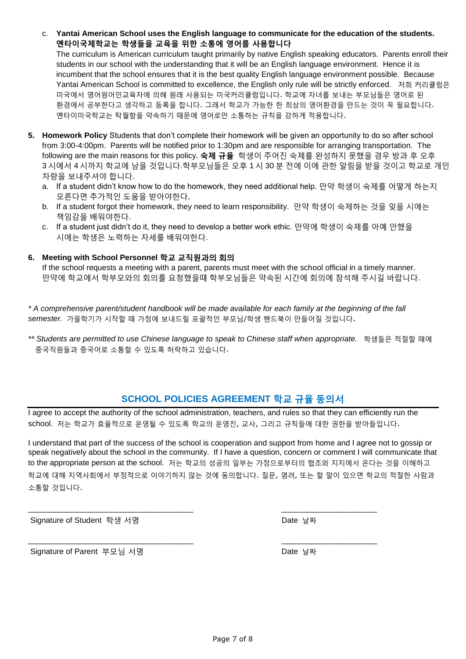The curriculum is American curriculum taught primarily by native English speaking educators. Parents enroll their students in our school with the understanding that it will be an English language environment. Hence it is incumbent that the school ensures that it is the best quality English language environment possible. Because Yantai American School is committed to excellence, the English only rule will be strictly enforced. 저희 커리큘럼은 미국에서 영어원어민교육자에 의해 원래 사용되는 미국커리큘럼입니다. 학교에 자녀를 보내는 부모님들은 영어로 된 환경에서 공부한다고 생각하고 등록을 합니다. 그래서 학교가 가능한 한 최상의 영어환경을 만드는 것이 꼭 필요합니다. 옌타이미국학교는 탁월함을 약속하기 때문에 영어로만 소통하는 규칙을 강하게 적용합니다.

- **5. Homework Policy** Students that don't complete their homework will be given an opportunity to do so after school from 3:00-4:00pm. Parents will be notified prior to 1:30pm and are responsible for arranging transportation. The following are the main reasons for this policy. **숙제 규율** 학생이 주어진 숙제를 완성하지 못했을 경우 방과 후 오후 3 시에서 4 시까지 학교에 남을 것입니다.학부모님들은 오후 1 시 30 분 전에 이에 관한 알림을 받을 것이고 학교로 개인 차량을 보내주셔야 합니다.
	- a. If a student didn't know how to do the homework, they need additional help. 만약 학생이 숙제를 어떻게 하는지 모른다면 추가적인 도움을 받아야한다,
	- b. If a student forgot their homework, they need to learn responsibility. 만약 학생이 숙제하는 것을 잊을 시에는 책임감을 배워야한다.
	- c. If a student just didn't do it, they need to develop a better work ethic. 만약에 학생이 숙제를 아예 안했을 시에는 학생은 노력하는 자세를 배워야한다.

### **6. Meeting with School Personnel 학교 교직원과의 회의**

If the school requests a meeting with a parent, parents must meet with the school official in a timely manner. 만약에 학교에서 학부모와의 회의를 요청했을떄 학부모님들은 약속된 시간에 회의에 참석해 주시길 바랍니다.

*\* A comprehensive parent/student handbook will be made available for each family at the beginning of the fall semester.* 가을학기가 시작할 때 가정에 보내드릴 포괄적인 부모님/학생 핸드북이 만들어질 것입니다.

*\*\* Students are permitted to use Chinese language to speak to Chinese staff when appropriate.* 학생들은 적절할 때에 중국직원들과 중국어로 소통할 수 있도록 허락하고 있습니다.

# **SCHOOL POLICIES AGREEMENT 학교 규율 동의서**

I agree to accept the authority of the school administration, teachers, and rules so that they can efficiently run the school. 저는 학교가 효율적으로 운영될 수 있도록 학교의 운영진, 교사, 그리고 규칙들에 대한 권한을 받아들입니다.

I understand that part of the success of the school is cooperation and support from home and I agree not to gossip or speak negatively about the school in the community. If I have a question, concern or comment I will communicate that to the appropriate person at the school. 저는 학교의 성공의 일부는 가정으로부터의 협조와 지지에서 온다는 것을 이해하고 학교에 대해 지역사회에서 부정적으로 이야기하지 않는 것에 동의합니다. 질문, 염려, 또는 할 말이 있으면 학교의 적절한 사람과 소통할 것입니다.

\_\_\_\_\_\_\_\_\_\_\_\_\_\_\_\_\_\_\_\_\_\_\_\_\_\_\_\_\_\_\_\_\_\_\_\_\_\_ \_\_\_\_\_\_\_\_\_\_\_\_\_\_\_\_\_\_\_\_\_\_

\_\_\_\_\_\_\_\_\_\_\_\_\_\_\_\_\_\_\_\_\_\_\_\_\_\_\_\_\_\_\_\_\_\_\_\_\_\_ \_\_\_\_\_\_\_\_\_\_\_\_\_\_\_\_\_\_\_\_\_\_

Signature of Student 학생 서명 Date 날짜

Signature of Parent 부모님 서명 The Date 날짜